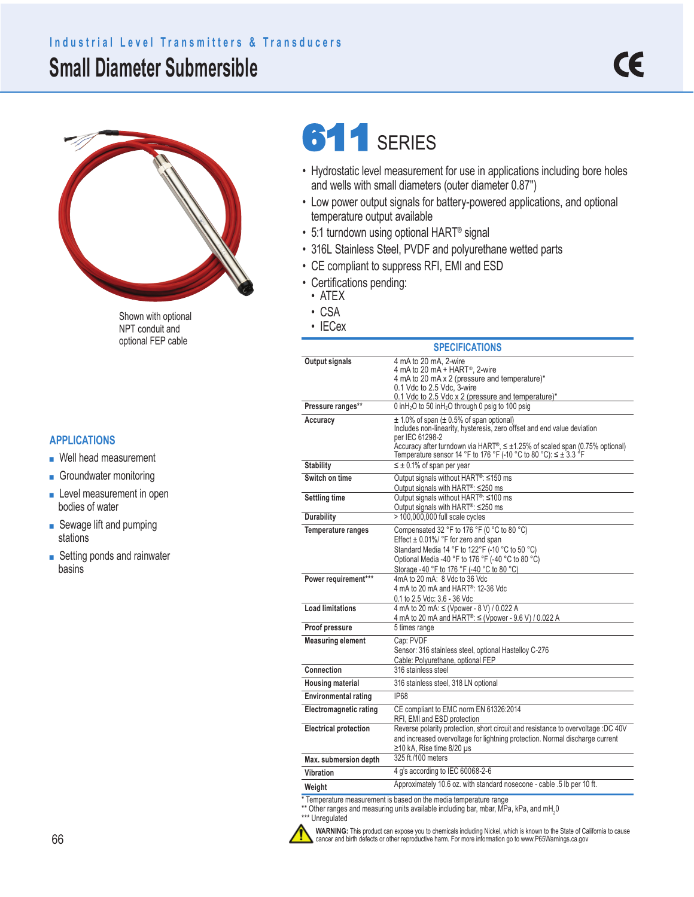## **Small Diameter Submersible Industrial Level Transmitters & Transducers**



• IECex Shown with optional NPT conduit and optional FEP cable

#### **APPLICATIONS**

- Well head measurement
- Groundwater monitoring
- Level measurement in open bodies of water
- Sewage lift and pumping stations
- Setting ponds and rainwater basins

# 611 SERIES

- Hydrostatic level measurement for use in applications including bore holes and wells with small diameters (outer diameter 0.87")
- Low power output signals for battery-powered applications, and optional temperature output available
- 5:1 turndown using optional HART® signal
- 316L Stainless Steel, PVDF and polyurethane wetted parts
- CE compliant to suppress RFI, EMI and ESD
- Certifications pending:
	- ATEX
	- CSA
	-

| <b>SPECIFICATIONS</b>                                           |                                                                                                                                                                                                                                                                                                                    |  |  |  |  |
|-----------------------------------------------------------------|--------------------------------------------------------------------------------------------------------------------------------------------------------------------------------------------------------------------------------------------------------------------------------------------------------------------|--|--|--|--|
| Output signals                                                  | 4 mA to 20 mA, 2-wire<br>4 mA to 20 mA + HART <sup>®</sup> , 2-wire<br>4 mA to 20 mA x 2 (pressure and temperature)*<br>0.1 Vdc to 2.5 Vdc, 3-wire<br>0.1 Vdc to 2.5 Vdc x 2 (pressure and temperature)*                                                                                                           |  |  |  |  |
| Pressure ranges**                                               | 0 in H <sub>2</sub> O to 50 in H <sub>2</sub> O through 0 psig to 100 psig                                                                                                                                                                                                                                         |  |  |  |  |
| Accuracy                                                        | $\pm$ 1.0% of span ( $\pm$ 0.5% of span optional)<br>Includes non-linearity, hysteresis, zero offset and end value deviation<br>per IEC 61298-2<br>Accuracy after turndown via HART®, $\leq \pm 1.25$ % of scaled span (0.75% optional)<br>Temperature sensor 14 °F to 176 °F (-10 °C to 80 °C): $\leq \pm 3.3$ °F |  |  |  |  |
| <b>Stability</b>                                                | $\leq \pm 0.1\%$ of span per year                                                                                                                                                                                                                                                                                  |  |  |  |  |
| Switch on time                                                  | Output signals without HART <sup>®</sup> : ≤150 ms<br>Output signals with HART <sup>®</sup> : ≤250 ms                                                                                                                                                                                                              |  |  |  |  |
| <b>Settling time</b>                                            | Output signals without HART <sup>®</sup> : ≤100 ms                                                                                                                                                                                                                                                                 |  |  |  |  |
| Durability                                                      | Output signals with HART <sup>®</sup> : ≤250 ms<br>> 100,000,000 full scale cycles                                                                                                                                                                                                                                 |  |  |  |  |
| <b>Temperature ranges</b>                                       | Compensated 32 °F to 176 °F (0 °C to 80 °C)<br>Effect $\pm$ 0.01%/ °F for zero and span                                                                                                                                                                                                                            |  |  |  |  |
|                                                                 | Standard Media 14 °F to 122°F (-10 °C to 50 °C)<br>Optional Media -40 °F to 176 °F (-40 °C to 80 °C)<br>Storage -40 °F to 176 °F (-40 °C to 80 °C)                                                                                                                                                                 |  |  |  |  |
| Power requirement***                                            | 4mA to 20 mA: 8 Vdc to 36 Vdc<br>4 mA to 20 mA and HART <sup>®</sup> : 12-36 Vdc<br>0.1 to 2.5 Vdc: 3.6 - 36 Vdc                                                                                                                                                                                                   |  |  |  |  |
| <b>Load limitations</b>                                         | 4 mA to 20 mA: ≤ (Vpower - 8 V) / 0.022 A<br>4 mA to 20 mA and HART <sup>®</sup> : ≤ (Vpower - 9.6 V) / 0.022 A                                                                                                                                                                                                    |  |  |  |  |
| Proof pressure                                                  | 5 times range                                                                                                                                                                                                                                                                                                      |  |  |  |  |
| <b>Measuring element</b>                                        | Cap: PVDF<br>Sensor: 316 stainless steel, optional Hastelloy C-276<br>Cable: Polyurethane, optional FEP                                                                                                                                                                                                            |  |  |  |  |
| Connection                                                      | 316 stainless steel                                                                                                                                                                                                                                                                                                |  |  |  |  |
| <b>Housing material</b>                                         | 316 stainless steel, 318 LN optional                                                                                                                                                                                                                                                                               |  |  |  |  |
| <b>Environmental rating</b>                                     | <b>IP68</b>                                                                                                                                                                                                                                                                                                        |  |  |  |  |
| <b>Electromagnetic rating</b>                                   | CE compliant to EMC norm EN 61326:2014<br>RFI, EMI and ESD protection                                                                                                                                                                                                                                              |  |  |  |  |
| <b>Electrical protection</b>                                    | Reverse polarity protection, short circuit and resistance to overvoltage :DC 40V<br>and increased overvoltage for lightning protection. Normal discharge current<br>$\geq$ 10 kA, Rise time 8/20 µs                                                                                                                |  |  |  |  |
| Max. submersion depth                                           | 325 ft./100 meters                                                                                                                                                                                                                                                                                                 |  |  |  |  |
| Vibration                                                       | 4 q's according to IEC 60068-2-6                                                                                                                                                                                                                                                                                   |  |  |  |  |
| Weight                                                          | Approximately 10.6 oz. with standard nosecone - cable .5 lb per 10 ft.                                                                                                                                                                                                                                             |  |  |  |  |
| Temperature measurement is based on the media temperature range |                                                                                                                                                                                                                                                                                                                    |  |  |  |  |

 $^{\ast\ast}$  Other ranges and measuring units available including bar, mbar, MPa, kPa, and mH<sub>2</sub>0

\*\*\* Unregulated



**WARNING:** This product can expose you to chemicals including Nickel, which is known to the State of California to cause<br>cancer and birth defects or other reproductive harm. For more information go to www.P65Warnings.ca.go